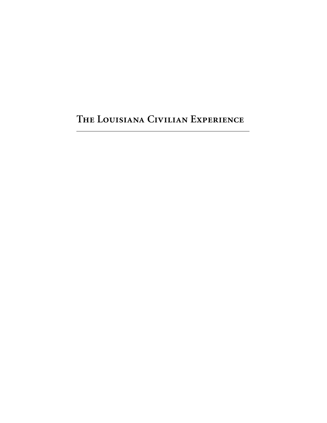**The Louisiana Civilian Experience**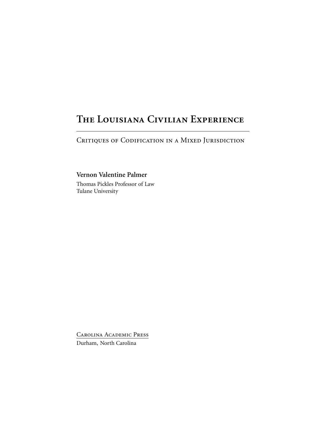## **The Louisiana Civilian Experience**

CRITIQUES OF CODIFICATION IN A MIXED JURISDICTION

**Vernon Valentine Palmer**

Thomas Pickles Professor of Law Tulane University

Carolina Academic Press Durham, North Carolina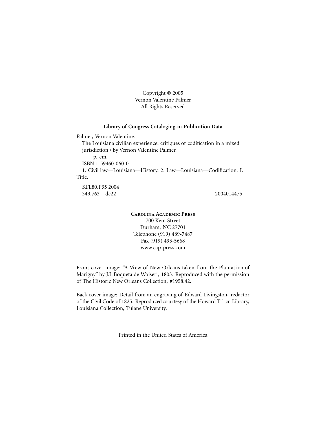Copyright © 2005 Vernon Valentine Palmer All Rights Reserved

#### **Library of Congress Cataloging-in-Publication Data**

Palmer, Vernon Valentine.

The Louisiana civilian experience: critiques of codification in a mixed jurisdiction / by Vernon Valentine Palmer.

p. cm.

ISBN 1-59460-060-0

1. Civil law—Louisiana—History. 2. Law—Louisiana—Codification. I. Title.

KFL80.P35 2004 349.763—dc22 2004014475

**Carolina Academic Press** 700 Kent Street Durham, NC 27701 Telephone (919) 489-7487 Fax (919) 493-5668 www.cap-press.com

Front cover image: "A View of New Orleans taken from the Plantation of Marigny" by J.L.Boqueta de Woiseri, 1803. Reproduced with the permission of The Historic New Orleans Collection, #1958.42.

Back cover image: Detail from an engraving of Edward Livingston, redactor of the Civil Code of 1825. Reproduced courtesy of the Howard Tilton Library, Louisiana Collection, Tulane University.

Printed in the United States of America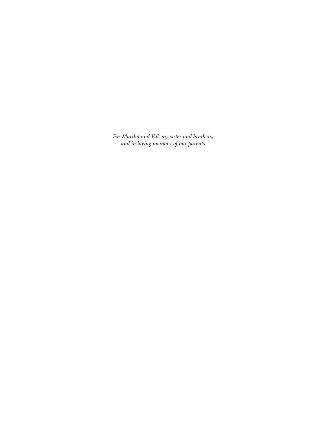*For Martha and Val, my sister and brothers, and in loving memory of our parents*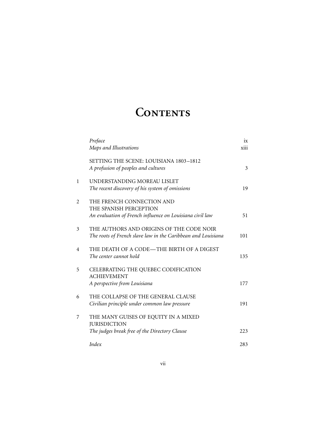## CONTENTS

|              | Preface                                                      | ix   |
|--------------|--------------------------------------------------------------|------|
|              | Maps and Illustrations                                       | xiii |
|              | SETTING THE SCENE: LOUISIANA 1803-1812                       |      |
|              | A profusion of peoples and cultures                          | 3    |
| $\mathbf{1}$ | UNDERSTANDING MOREAU LISLET                                  |      |
|              | The recent discovery of his system of omissions              | 19   |
| 2            | THE FRENCH CONNECTION AND                                    |      |
|              | THE SPANISH PERCEPTION                                       |      |
|              | An evaluation of French influence on Louisiana civil law     | 51   |
| 3            | THE AUTHORS AND ORIGINS OF THE CODE NOIR                     |      |
|              | The roots of French slave law in the Caribbean and Louisiana | 101  |
| 4            | THE DEATH OF A CODE—THE BIRTH OF A DIGEST                    |      |
|              | The center cannot hold                                       | 135  |
| 5            | CELEBRATING THE QUEBEC CODIFICATION                          |      |
|              | <b>ACHIEVEMENT</b>                                           |      |
|              | A perspective from Louisiana                                 | 177  |
| 6            | THE COLLAPSE OF THE GENERAL CLAUSE                           |      |
|              | Civilian principle under common law pressure                 | 191  |
| 7            | THE MANY GUISES OF EQUITY IN A MIXED                         |      |
|              | <b>JURISDICTION</b>                                          |      |
|              | The judges break free of the Directory Clause                | 223  |
|              | Index                                                        | 283  |
|              |                                                              |      |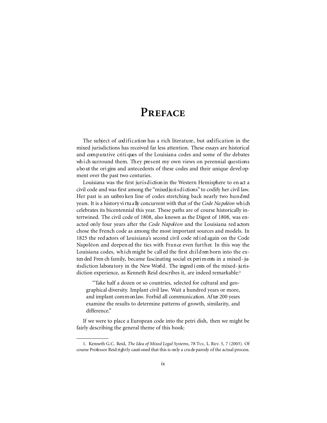### **Preface**

The subject of codification has a rich literature, but codification in the mixed jurisdictions has received far less attention. These essays are historical and comparative critiques of the Louisiana codes and some of the debates wh i ch surround them. They present my own views on perennial questions a bo ut the ori gins and antecedents of these codes and their unique devel opment over the past two centuries.

Louisiana was the first jurisdiction in the Western Hemisphere to en act a civil code and was first among the "mixed jurisdictions" to codify her civil law. Her past is an unbro ken line of codes stretching back nearly two hundred years. It is a history virtu ally concurrent with that of the *Code Na poléon* which celebrates its bicentennial this year. These paths are of course historically intertwined. The civil code of 1808, also known as the Digest of 1808, was enacted only four years after the *Code Napoléon* and the Louisiana red actors chose the French code as among the most important sources and models. In 1825 the red actors of Louisiana's second civil code relied again on the Code Na poleon and deepen ed the ties with France even further. In this way the Louisiana codes, which might be called the first children born into the exten ded Fren ch family, became fascinating social ex peri m ents in a mixed - jurisdiction labora tory in the New World. The ingred i ents of the mixed-jurisdiction experience, as Kenneth Reid describes it, are indeed remarkable:<sup>1</sup>

"Take half a dozen or so countries, selected for cultural and geographical diversity. Implant civil law. Wait a hundred years or more, and implant common law. Forbid all communication. Af ter 200 years examine the results to determine patterns of growth, similarity, and difference."

If we were to place a European code into the petri dish, then we might be fairly describing the general theme of this book:

<sup>1.</sup> Kenneth G.C. Reid, *The Idea of Mixed Legal Systems*, 78 Tul. L. Rev. 5, 7 (2003). Of course Professor Reid rightly cauti oned that this is only a cru de parody of the actual process.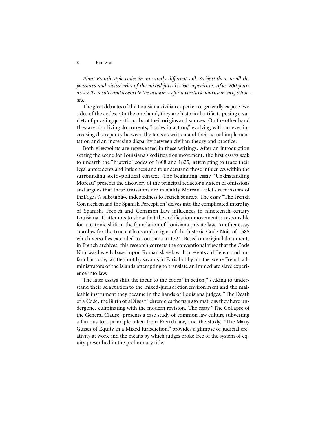#### PREFACE  $\mathbf{x}$

Plant French-style codes in an utterly different soil. Subject them to all the pressures and vicissitudes of the mixed jurisd *i* ction experience. After 200 years a s sess the re sults and assem ble the academics for a veritable tourn ament of schol ars.

The great deb a tes of the Louisiana civilian ex peri en ce gen erally ex pose two sides of the codes. On the one hand, they are historical artifacts posing a vari ety of puzzling que sti ons about their ori gins and sources. On the other hand they are also living documents, "codes in action," evolving with an ever increasing discrepancy between the texts as written and their actual implementation and an increasing disparity between civilian theory and practice.

Both viewpoints are represented in these writings. After an introduction s et ting the scene for Louisiana's codification movement, the first essays seek to unearth the "historic" codes of 1808 and 1825, attempting to trace their l egal antecedents and influences and to understand those influences within the surrounding socio-political context. The beginning essay "Understanding Moreau" presents the discovery of the principal redactor's system of omissions and argues that these omissions are in reality Moreau Lislet's admissions of the Digest's substantive indebtedness to French sources. The essay "The French Connection and the Spanish Perception" delves into the complicated interplay of Spanish, French and Common Law influences in nineteenth-century Louisiana. It attempts to show that the codification movement is responsible for a tectonic shift in the foundation of Louisiana private law. Another essay searches for the true authors and origins of the historic Code Noir of 1685 which Versailles extended to Louisiana in 1724. Based on original documents in French archives, this research corrects the conventional view that the Code Noir was heavily based upon Roman slave law. It presents a different and unfamiliar code, written not by savants in Paris but by on-the-scene French administrators of the islands attempting to translate an immediate slave experience into law.

The later essays shift the focus to the codes "in action," seeking to understand their adaptation to the mixed-jurisdiction environment and the malleable instrument they became in the hands of Louisiana judges. "The Death of a Code, the Birth of a Digest" chronicles the transformations they have undergone, culminating with the modern revision. The essay "The Collapse of the General Clause" presents a case study of common law culture subverting a famous tort principle taken from French law, and the study, "The Many Guises of Equity in a Mixed Jurisdiction," provides a glimpse of judicial creativity at work and the means by which judges broke free of the system of equity prescribed in the preliminary title.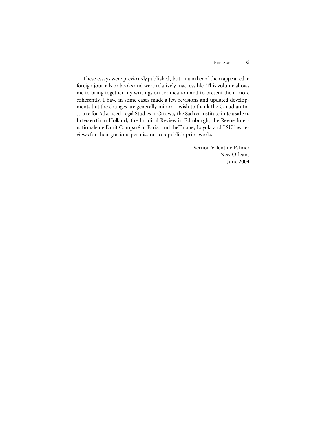These essays were previously published, but a num ber of them appe a red in foreign journals or books and were relatively inaccessible. This volume allows me to bring together my writings on codification and to present them more coherently. I have in some cases made a few revisions and updated developments but the changes are generally minor. I wish to thank the Canadian Insti tute for Advanced Legal Studies in Ottawa, the Sach er Institute in Jerusalem, In ters en tia in Holland, the Juridical Review in Edinburgh, the Revue Internationale de Droit Comparé in Paris, and theTulane, Loyola and LSU law reviews for their gracious permission to republish prior works.

> Vernon Valentine Palmer New Orleans June 2004